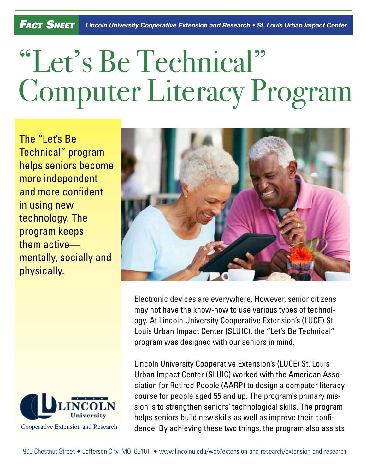## "Let's Be Technical" Computer Literacy Program

The "Let's Be Technical" program helps seniors become more independent and more confident in using new technology. The program keeps them active mentally, socially and physically.





Electronic devices are everywhere. However, senior citizens may not have the know-how to use various types of technology. At Lincoln University Cooperative Extension's (LUCE) St. Louis Urban Impact Center (SLUIC), the "Let's Be Technical" program was designed with our seniors in mind.

Lincoln University Cooperative Extension's (LUCE) St. Louis Urban Impact Center (SLUIC) worked with the American Association for Retired People (AARP) to design a computer literacy course for people aged 55 and up. The program's primary mission is to strengthen seniors' technological skills. The program helps seniors build new skills as well as improve their confidence. By achieving these two things, the program also assists